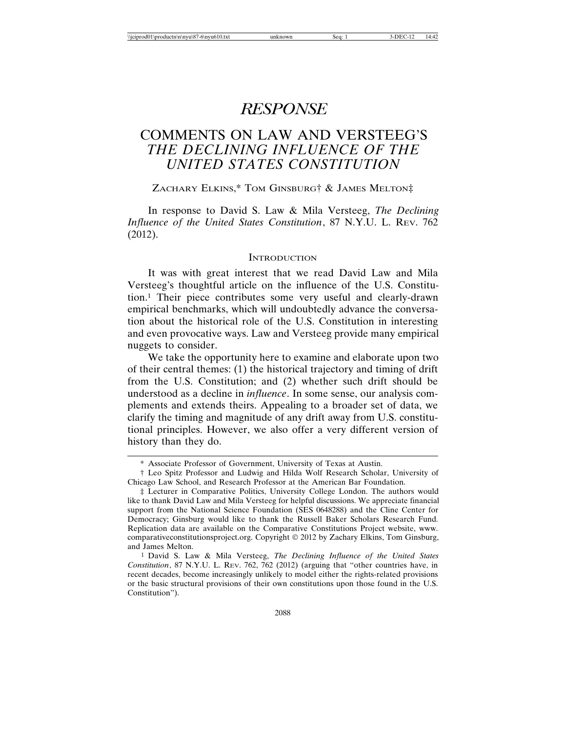# *RESPONSE*

# COMMENTS ON LAW AND VERSTEEG'S *THE DECLINING INFLUENCE OF THE UNITED STATES CONSTITUTION*

ZACHARY ELKINS,\* TOM GINSBURG† & JAMES MELTON‡

In response to David S. Law & Mila Versteeg, *The Declining Influence of the United States Constitution*, 87 N.Y.U. L. REV. 762 (2012).

#### **INTRODUCTION**

It was with great interest that we read David Law and Mila Versteeg's thoughtful article on the influence of the U.S. Constitution.1 Their piece contributes some very useful and clearly-drawn empirical benchmarks, which will undoubtedly advance the conversation about the historical role of the U.S. Constitution in interesting and even provocative ways. Law and Versteeg provide many empirical nuggets to consider.

We take the opportunity here to examine and elaborate upon two of their central themes: (1) the historical trajectory and timing of drift from the U.S. Constitution; and (2) whether such drift should be understood as a decline in *influence*. In some sense, our analysis complements and extends theirs. Appealing to a broader set of data, we clarify the timing and magnitude of any drift away from U.S. constitutional principles. However, we also offer a very different version of history than they do.

<sup>\*</sup> Associate Professor of Government, University of Texas at Austin.

<sup>†</sup> Leo Spitz Professor and Ludwig and Hilda Wolf Research Scholar, University of Chicago Law School, and Research Professor at the American Bar Foundation.

<sup>‡</sup> Lecturer in Comparative Politics, University College London. The authors would like to thank David Law and Mila Versteeg for helpful discussions. We appreciate financial support from the National Science Foundation (SES 0648288) and the Cline Center for Democracy; Ginsburg would like to thank the Russell Baker Scholars Research Fund. Replication data are available on the Comparative Constitutions Project website, www. comparativeconstitutionsproject.org. Copyright  $\odot$  2012 by Zachary Elkins, Tom Ginsburg, and James Melton.

<sup>1</sup> David S. Law & Mila Versteeg, *The Declining Influence of the United States Constitution*, 87 N.Y.U. L. REV. 762, 762 (2012) (arguing that "other countries have, in recent decades, become increasingly unlikely to model either the rights-related provisions or the basic structural provisions of their own constitutions upon those found in the U.S. Constitution").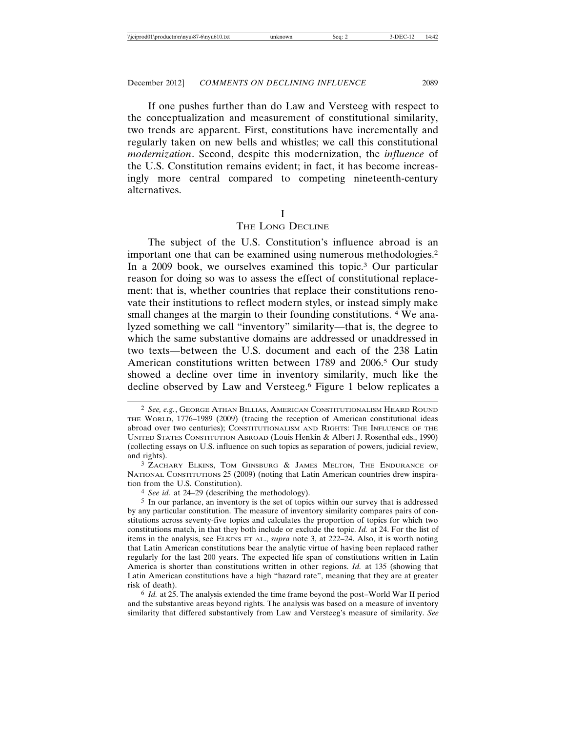If one pushes further than do Law and Versteeg with respect to the conceptualization and measurement of constitutional similarity, two trends are apparent. First, constitutions have incrementally and regularly taken on new bells and whistles; we call this constitutional *modernization*. Second, despite this modernization, the *influence* of the U.S. Constitution remains evident; in fact, it has become increasingly more central compared to competing nineteenth-century alternatives.

I

## THE LONG DECLINE

The subject of the U.S. Constitution's influence abroad is an important one that can be examined using numerous methodologies.2 In a 2009 book, we ourselves examined this topic.3 Our particular reason for doing so was to assess the effect of constitutional replacement: that is, whether countries that replace their constitutions renovate their institutions to reflect modern styles, or instead simply make small changes at the margin to their founding constitutions. <sup>4</sup> We analyzed something we call "inventory" similarity—that is, the degree to which the same substantive domains are addressed or unaddressed in two texts—between the U.S. document and each of the 238 Latin American constitutions written between 1789 and 2006.5 Our study showed a decline over time in inventory similarity, much like the decline observed by Law and Versteeg.6 Figure 1 below replicates a

6 *Id.* at 25. The analysis extended the time frame beyond the post–World War II period and the substantive areas beyond rights. The analysis was based on a measure of inventory similarity that differed substantively from Law and Versteeg's measure of similarity. *See*

<sup>2</sup> *See, e.g.*, GEORGE ATHAN BILLIAS, AMERICAN CONSTITUTIONALISM HEARD ROUND THE WORLD, 1776–1989 (2009) (tracing the reception of American constitutional ideas abroad over two centuries); CONSTITUTIONALISM AND RIGHTS: THE INFLUENCE OF THE UNITED STATES CONSTITUTION ABROAD (Louis Henkin & Albert J. Rosenthal eds., 1990) (collecting essays on U.S. influence on such topics as separation of powers, judicial review, and rights).

<sup>3</sup> ZACHARY ELKINS, TOM GINSBURG & JAMES MELTON, THE ENDURANCE OF NATIONAL CONSTITUTIONS 25 (2009) (noting that Latin American countries drew inspiration from the U.S. Constitution).

<sup>4</sup> *See id.* at 24–29 (describing the methodology).

<sup>5</sup> In our parlance, an inventory is the set of topics within our survey that is addressed by any particular constitution. The measure of inventory similarity compares pairs of constitutions across seventy-five topics and calculates the proportion of topics for which two constitutions match, in that they both include or exclude the topic. *Id.* at 24. For the list of items in the analysis, see ELKINS ET AL., *supra* note 3, at 222–24. Also, it is worth noting that Latin American constitutions bear the analytic virtue of having been replaced rather regularly for the last 200 years. The expected life span of constitutions written in Latin America is shorter than constitutions written in other regions. *Id.* at 135 (showing that Latin American constitutions have a high "hazard rate", meaning that they are at greater risk of death).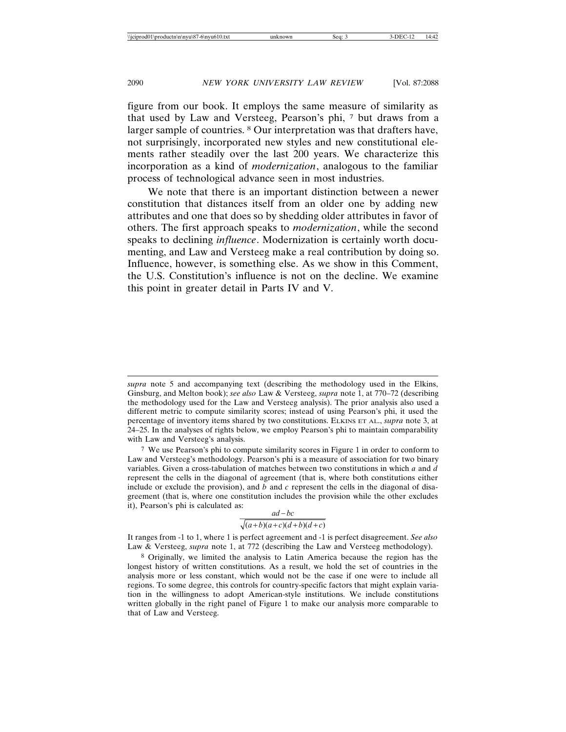figure from our book. It employs the same measure of similarity as that used by Law and Versteeg, Pearson's phi, 7 but draws from a larger sample of countries. 8 Our interpretation was that drafters have, not surprisingly, incorporated new styles and new constitutional elements rather steadily over the last 200 years. We characterize this incorporation as a kind of *modernization*, analogous to the familiar process of technological advance seen in most industries.

We note that there is an important distinction between a newer constitution that distances itself from an older one by adding new attributes and one that does so by shedding older attributes in favor of others. The first approach speaks to *modernization*, while the second speaks to declining *influence*. Modernization is certainly worth documenting, and Law and Versteeg make a real contribution by doing so. Influence, however, is something else. As we show in this Comment, the U.S. Constitution's influence is not on the decline. We examine this point in greater detail in Parts IV and V.

$$
\frac{aa-bc}{\sqrt{(a+b)(a+c)(d+b)(d+c)}}
$$

It ranges from -1 to 1, where 1 is perfect agreement and -1 is perfect disagreement. *See also* Law & Versteeg, *supra* note 1, at 772 (describing the Law and Versteeg methodology).

*supra* note 5 and accompanying text (describing the methodology used in the Elkins, Ginsburg, and Melton book); *see also* Law & Versteeg, *supra* note 1, at 770–72 (describing the methodology used for the Law and Versteeg analysis). The prior analysis also used a different metric to compute similarity scores; instead of using Pearson's phi, it used the percentage of inventory items shared by two constitutions. ELKINS ET AL., *supra* note 3, at 24–25. In the analyses of rights below, we employ Pearson's phi to maintain comparability with Law and Versteeg's analysis.

 $7$  We use Pearson's phi to compute similarity scores in Figure 1 in order to conform to Law and Versteeg's methodology. Pearson's phi is a measure of association for two binary variables. Given a cross-tabulation of matches between two constitutions in which *a* and *d* represent the cells in the diagonal of agreement (that is, where both constitutions either include or exclude the provision), and *b* and *c* represent the cells in the diagonal of disagreement (that is, where one constitution includes the provision while the other excludes it), Pearson's phi is calculated as:  $\mathbf{r}$   $\mathbf{r}$ 

<sup>8</sup> Originally, we limited the analysis to Latin America because the region has the longest history of written constitutions. As a result, we hold the set of countries in the analysis more or less constant, which would not be the case if one were to include all regions. To some degree, this controls for country-specific factors that might explain variation in the willingness to adopt American-style institutions. We include constitutions written globally in the right panel of Figure 1 to make our analysis more comparable to that of Law and Versteeg.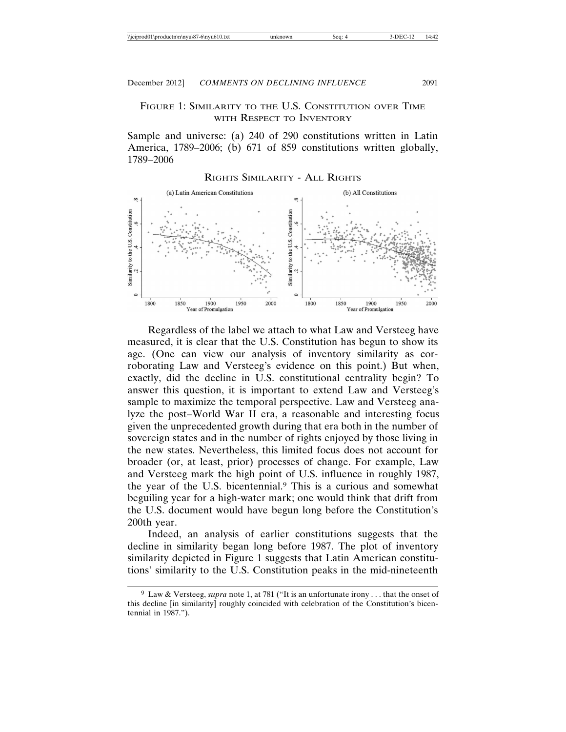## FIGURE 1: SIMILARITY TO THE U.S. CONSTITUTION OVER TIME WITH RESPECT TO INVENTORY

Sample and universe: (a) 240 of 290 constitutions written in Latin America, 1789–2006; (b) 671 of 859 constitutions written globally, 1789–2006



Regardless of the label we attach to what Law and Versteeg have measured, it is clear that the U.S. Constitution has begun to show its age. (One can view our analysis of inventory similarity as corroborating Law and Versteeg's evidence on this point.) But when, exactly, did the decline in U.S. constitutional centrality begin? To answer this question, it is important to extend Law and Versteeg's sample to maximize the temporal perspective. Law and Versteeg analyze the post–World War II era, a reasonable and interesting focus given the unprecedented growth during that era both in the number of sovereign states and in the number of rights enjoyed by those living in the new states. Nevertheless, this limited focus does not account for broader (or, at least, prior) processes of change. For example, Law and Versteeg mark the high point of U.S. influence in roughly 1987, the year of the U.S. bicentennial.9 This is a curious and somewhat beguiling year for a high-water mark; one would think that drift from the U.S. document would have begun long before the Constitution's 200th year.

Indeed, an analysis of earlier constitutions suggests that the decline in similarity began long before 1987. The plot of inventory similarity depicted in Figure 1 suggests that Latin American constitutions' similarity to the U.S. Constitution peaks in the mid-nineteenth

<sup>9</sup> Law & Versteeg, *supra* note 1, at 781 ("It is an unfortunate irony . . . that the onset of this decline [in similarity] roughly coincided with celebration of the Constitution's bicentennial in 1987.").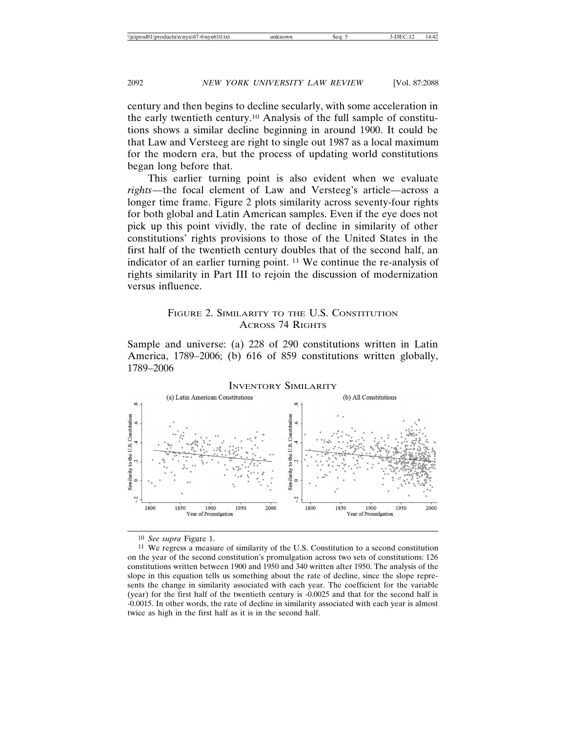century and then begins to decline secularly, with some acceleration in the early twentieth century.10 Analysis of the full sample of constitutions shows a similar decline beginning in around 1900. It could be that Law and Versteeg are right to single out 1987 as a local maximum for the modern era, but the process of updating world constitutions began long before that.

This earlier turning point is also evident when we evaluate *rights*—the focal element of Law and Versteeg's article—across a longer time frame. Figure 2 plots similarity across seventy-four rights for both global and Latin American samples. Even if the eye does not pick up this point vividly, the rate of decline in similarity of other constitutions' rights provisions to those of the United States in the first half of the twentieth century doubles that of the second half, an indicator of an earlier turning point. 11 We continue the re-analysis of rights similarity in Part III to rejoin the discussion of modernization versus influence.

## FIGURE 2. SIMILARITY TO THE U.S. CONSTITUTION ACROSS 74 RIGHTS

Sample and universe: (a) 228 of 290 constitutions written in Latin America, 1789–2006; (b) 616 of 859 constitutions written globally, 1789–2006



10 *See supra* Figure 1.

11 We regress a measure of similarity of the U.S. Constitution to a second constitution on the year of the second constitution's promulgation across two sets of constitutions: 126 constitutions written between 1900 and 1950 and 340 written after 1950. The analysis of the slope in this equation tells us something about the rate of decline, since the slope represents the change in similarity associated with each year. The coefficient for the variable (year) for the first half of the twentieth century is -0.0025 and that for the second half is -0.0015. In other words, the rate of decline in similarity associated with each year is almost twice as high in the first half as it is in the second half.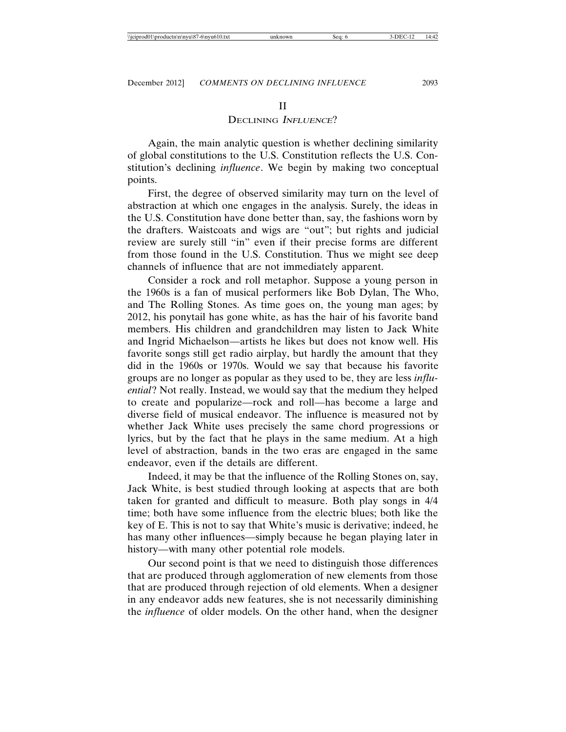#### II

### DECLINING *INFLUENCE*?

Again, the main analytic question is whether declining similarity of global constitutions to the U.S. Constitution reflects the U.S. Constitution's declining *influence*. We begin by making two conceptual points.

First, the degree of observed similarity may turn on the level of abstraction at which one engages in the analysis. Surely, the ideas in the U.S. Constitution have done better than, say, the fashions worn by the drafters. Waistcoats and wigs are "out"; but rights and judicial review are surely still "in" even if their precise forms are different from those found in the U.S. Constitution. Thus we might see deep channels of influence that are not immediately apparent.

Consider a rock and roll metaphor. Suppose a young person in the 1960s is a fan of musical performers like Bob Dylan, The Who, and The Rolling Stones. As time goes on, the young man ages; by 2012, his ponytail has gone white, as has the hair of his favorite band members. His children and grandchildren may listen to Jack White and Ingrid Michaelson—artists he likes but does not know well. His favorite songs still get radio airplay, but hardly the amount that they did in the 1960s or 1970s. Would we say that because his favorite groups are no longer as popular as they used to be, they are less *influential*? Not really. Instead, we would say that the medium they helped to create and popularize—rock and roll—has become a large and diverse field of musical endeavor. The influence is measured not by whether Jack White uses precisely the same chord progressions or lyrics, but by the fact that he plays in the same medium. At a high level of abstraction, bands in the two eras are engaged in the same endeavor, even if the details are different.

Indeed, it may be that the influence of the Rolling Stones on, say, Jack White, is best studied through looking at aspects that are both taken for granted and difficult to measure. Both play songs in 4/4 time; both have some influence from the electric blues; both like the key of E. This is not to say that White's music is derivative; indeed, he has many other influences—simply because he began playing later in history—with many other potential role models.

Our second point is that we need to distinguish those differences that are produced through agglomeration of new elements from those that are produced through rejection of old elements. When a designer in any endeavor adds new features, she is not necessarily diminishing the *influence* of older models. On the other hand, when the designer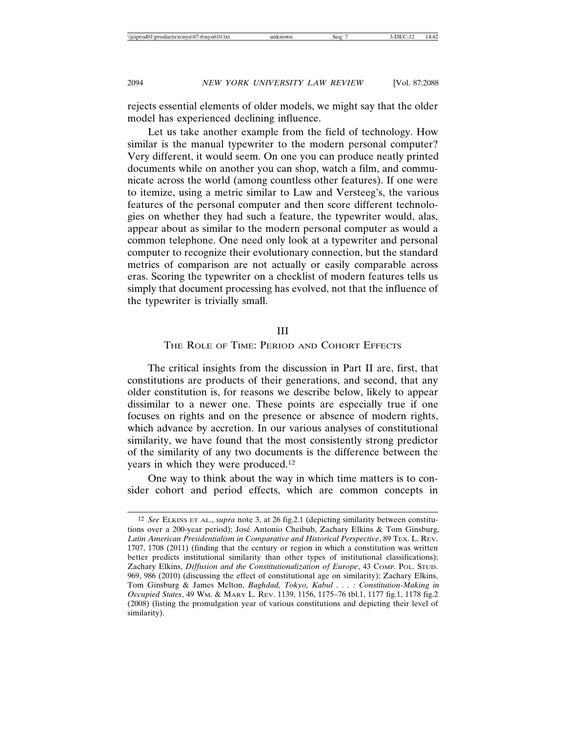rejects essential elements of older models, we might say that the older model has experienced declining influence.

Let us take another example from the field of technology. How similar is the manual typewriter to the modern personal computer? Very different, it would seem. On one you can produce neatly printed documents while on another you can shop, watch a film, and communicate across the world (among countless other features). If one were to itemize, using a metric similar to Law and Versteeg's, the various features of the personal computer and then score different technologies on whether they had such a feature, the typewriter would, alas, appear about as similar to the modern personal computer as would a common telephone. One need only look at a typewriter and personal computer to recognize their evolutionary connection, but the standard metrics of comparison are not actually or easily comparable across eras. Scoring the typewriter on a checklist of modern features tells us simply that document processing has evolved, not that the influence of the typewriter is trivially small.

#### III

#### THE ROLE OF TIME: PERIOD AND COHORT EFFECTS

The critical insights from the discussion in Part II are, first, that constitutions are products of their generations, and second, that any older constitution is, for reasons we describe below, likely to appear dissimilar to a newer one. These points are especially true if one focuses on rights and on the presence or absence of modern rights, which advance by accretion. In our various analyses of constitutional similarity, we have found that the most consistently strong predictor of the similarity of any two documents is the difference between the years in which they were produced.12

One way to think about the way in which time matters is to consider cohort and period effects, which are common concepts in

<sup>12</sup> *See* ELKINS ET AL., *supra* note 3, at 26 fig.2.1 (depicting similarity between constitutions over a 200-year period); José Antonio Cheibub, Zachary Elkins & Tom Ginsburg, *Latin American Presidentialism in Comparative and Historical Perspective*, 89 TEX. L. REV. 1707, 1708 (2011) (finding that the century or region in which a constitution was written better predicts institutional similarity than other types of institutional classifications); Zachary Elkins, *Diffusion and the Constitutionalization of Europe*, 43 COMP. POL. STUD. 969, 986 (2010) (discussing the effect of constitutional age on similarity); Zachary Elkins, Tom Ginsburg & James Melton, *Baghdad, Tokyo, Kabul . . . : Constitution-Making in Occupied States*, 49 WM. & MARY L. REV. 1139, 1156, 1175–76 tbl.1, 1177 fig.1, 1178 fig.2 (2008) (listing the promulgation year of various constitutions and depicting their level of similarity).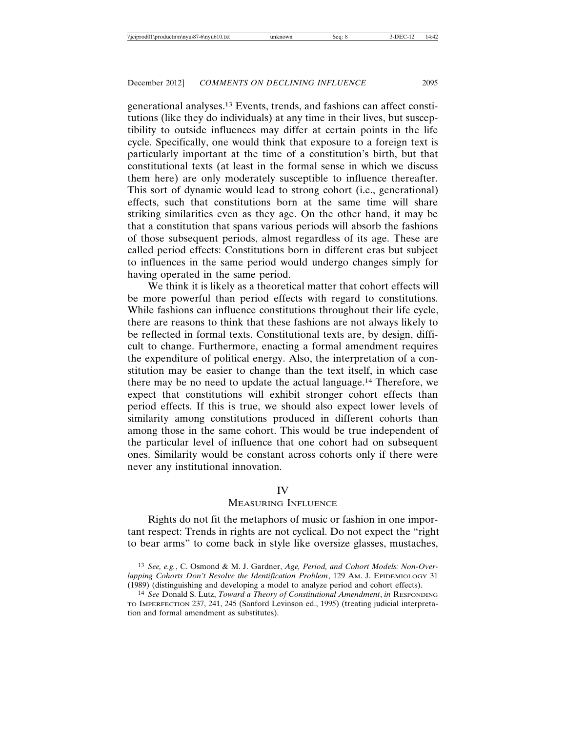generational analyses.13 Events, trends, and fashions can affect constitutions (like they do individuals) at any time in their lives, but susceptibility to outside influences may differ at certain points in the life cycle. Specifically, one would think that exposure to a foreign text is particularly important at the time of a constitution's birth, but that constitutional texts (at least in the formal sense in which we discuss them here) are only moderately susceptible to influence thereafter. This sort of dynamic would lead to strong cohort (i.e., generational) effects, such that constitutions born at the same time will share striking similarities even as they age. On the other hand, it may be that a constitution that spans various periods will absorb the fashions of those subsequent periods, almost regardless of its age. These are called period effects: Constitutions born in different eras but subject to influences in the same period would undergo changes simply for having operated in the same period.

We think it is likely as a theoretical matter that cohort effects will be more powerful than period effects with regard to constitutions. While fashions can influence constitutions throughout their life cycle, there are reasons to think that these fashions are not always likely to be reflected in formal texts. Constitutional texts are, by design, difficult to change. Furthermore, enacting a formal amendment requires the expenditure of political energy. Also, the interpretation of a constitution may be easier to change than the text itself, in which case there may be no need to update the actual language.14 Therefore, we expect that constitutions will exhibit stronger cohort effects than period effects. If this is true, we should also expect lower levels of similarity among constitutions produced in different cohorts than among those in the same cohort. This would be true independent of the particular level of influence that one cohort had on subsequent ones. Similarity would be constant across cohorts only if there were never any institutional innovation.

#### IV

## MEASURING INFLUENCE

Rights do not fit the metaphors of music or fashion in one important respect: Trends in rights are not cyclical. Do not expect the "right to bear arms" to come back in style like oversize glasses, mustaches,

<sup>13</sup> *See, e.g.*, C. Osmond & M. J. Gardner, *Age, Period, and Cohort Models: Non-Overlapping Cohorts Don't Resolve the Identification Problem*, 129 AM. J. EPIDEMIOLOGY 31 (1989) (distinguishing and developing a model to analyze period and cohort effects).

<sup>14</sup> *See* Donald S. Lutz, *Toward a Theory of Constitutional Amendment*, *in* RESPONDING TO IMPERFECTION 237, 241, 245 (Sanford Levinson ed., 1995) (treating judicial interpretation and formal amendment as substitutes).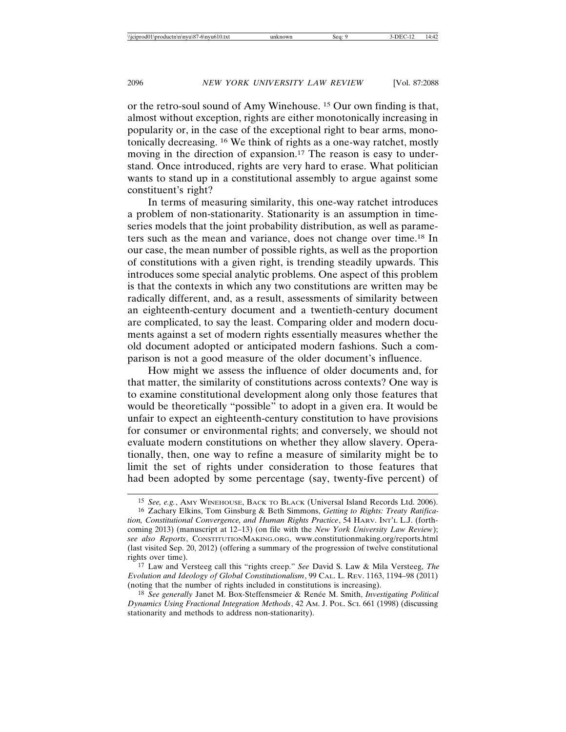or the retro-soul sound of Amy Winehouse. 15 Our own finding is that, almost without exception, rights are either monotonically increasing in popularity or, in the case of the exceptional right to bear arms, monotonically decreasing. 16 We think of rights as a one-way ratchet, mostly moving in the direction of expansion.<sup>17</sup> The reason is easy to understand. Once introduced, rights are very hard to erase. What politician wants to stand up in a constitutional assembly to argue against some constituent's right?

In terms of measuring similarity, this one-way ratchet introduces a problem of non-stationarity. Stationarity is an assumption in timeseries models that the joint probability distribution, as well as parameters such as the mean and variance, does not change over time.18 In our case, the mean number of possible rights, as well as the proportion of constitutions with a given right, is trending steadily upwards. This introduces some special analytic problems. One aspect of this problem is that the contexts in which any two constitutions are written may be radically different, and, as a result, assessments of similarity between an eighteenth-century document and a twentieth-century document are complicated, to say the least. Comparing older and modern documents against a set of modern rights essentially measures whether the old document adopted or anticipated modern fashions. Such a comparison is not a good measure of the older document's influence.

How might we assess the influence of older documents and, for that matter, the similarity of constitutions across contexts? One way is to examine constitutional development along only those features that would be theoretically "possible" to adopt in a given era. It would be unfair to expect an eighteenth-century constitution to have provisions for consumer or environmental rights; and conversely, we should not evaluate modern constitutions on whether they allow slavery. Operationally, then, one way to refine a measure of similarity might be to limit the set of rights under consideration to those features that had been adopted by some percentage (say, twenty-five percent) of

<sup>15</sup> *See, e.g.*, AMY WINEHOUSE, BACK TO BLACK (Universal Island Records Ltd. 2006).

<sup>16</sup> Zachary Elkins, Tom Ginsburg & Beth Simmons, *Getting to Rights: Treaty Ratification, Constitutional Convergence, and Human Rights Practice*, 54 HARV. INT'L L.J. (forthcoming 2013) (manuscript at 12–13) (on file with the *New York University Law Review*); *see also Reports*, CONSTITUTIONMAKING.ORG, www.constitutionmaking.org/reports.html (last visited Sep. 20, 2012) (offering a summary of the progression of twelve constitutional rights over time).

<sup>17</sup> Law and Versteeg call this "rights creep." *See* David S. Law & Mila Versteeg, *The Evolution and Ideology of Global Constitutionalism*, 99 CAL. L. REV. 1163, 1194–98 (2011) (noting that the number of rights included in constitutions is increasing).

<sup>&</sup>lt;sup>18</sup> *See generally* Janet M. Box-Steffensmeier & Renée M. Smith, *Investigating Political Dynamics Using Fractional Integration Methods*, 42 AM. J. POL. SCI. 661 (1998) (discussing stationarity and methods to address non-stationarity).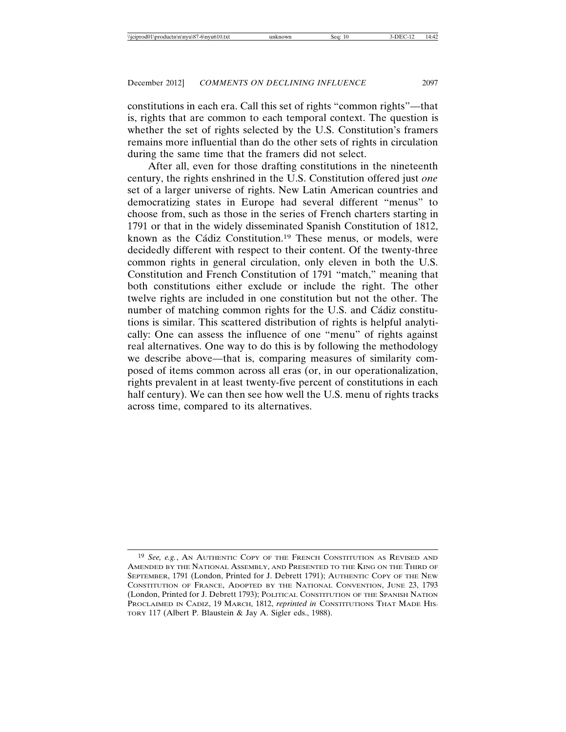constitutions in each era. Call this set of rights "common rights"—that is, rights that are common to each temporal context. The question is whether the set of rights selected by the U.S. Constitution's framers remains more influential than do the other sets of rights in circulation during the same time that the framers did not select.

After all, even for those drafting constitutions in the nineteenth century, the rights enshrined in the U.S. Constitution offered just *one* set of a larger universe of rights. New Latin American countries and democratizing states in Europe had several different "menus" to choose from, such as those in the series of French charters starting in 1791 or that in the widely disseminated Spanish Constitution of 1812, known as the Cádiz Constitution.<sup>19</sup> These menus, or models, were decidedly different with respect to their content. Of the twenty-three common rights in general circulation, only eleven in both the U.S. Constitution and French Constitution of 1791 "match," meaning that both constitutions either exclude or include the right. The other twelve rights are included in one constitution but not the other. The number of matching common rights for the U.S. and Cádiz constitutions is similar. This scattered distribution of rights is helpful analytically: One can assess the influence of one "menu" of rights against real alternatives. One way to do this is by following the methodology we describe above—that is, comparing measures of similarity composed of items common across all eras (or, in our operationalization, rights prevalent in at least twenty-five percent of constitutions in each half century). We can then see how well the U.S. menu of rights tracks across time, compared to its alternatives.

<sup>19</sup> *See, e.g.*, AN AUTHENTIC COPY OF THE FRENCH CONSTITUTION AS REVISED AND AMENDED BY THE NATIONAL ASSEMBLY, AND PRESENTED TO THE KING ON THE THIRD OF SEPTEMBER, 1791 (London, Printed for J. Debrett 1791); AUTHENTIC COPY OF THE NEW CONSTITUTION OF FRANCE, ADOPTED BY THE NATIONAL CONVENTION, JUNE 23, 1793 (London, Printed for J. Debrett 1793); POLITICAL CONSTITUTION OF THE SPANISH NATION PROCLAIMED IN CADIZ, 19 MARCH, 1812, *reprinted in* CONSTITUTIONS THAT MADE HIS-TORY 117 (Albert P. Blaustein & Jay A. Sigler eds., 1988).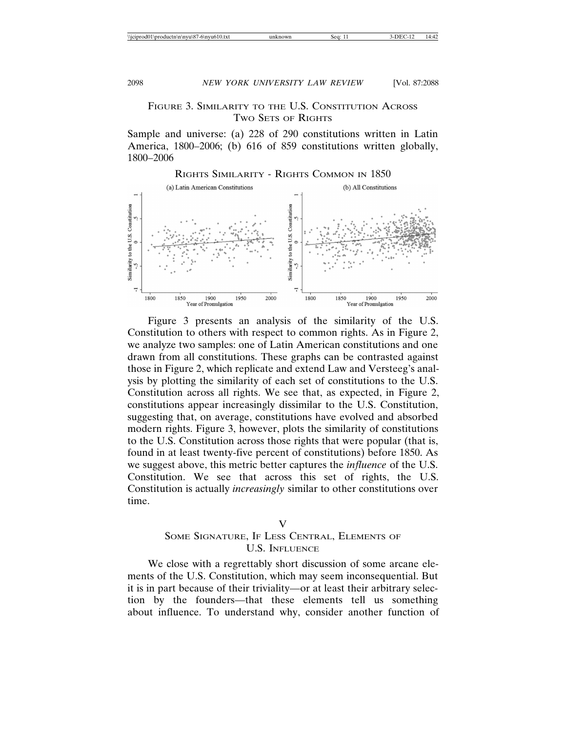## FIGURE 3. SIMILARITY TO THE U.S. CONSTITUTION ACROSS TWO SETS OF RIGHTS

Sample and universe: (a) 228 of 290 constitutions written in Latin America, 1800–2006; (b) 616 of 859 constitutions written globally, 1800–2006



Figure 3 presents an analysis of the similarity of the U.S. Constitution to others with respect to common rights. As in Figure 2, we analyze two samples: one of Latin American constitutions and one drawn from all constitutions. These graphs can be contrasted against those in Figure 2, which replicate and extend Law and Versteeg's analysis by plotting the similarity of each set of constitutions to the U.S. Constitution across all rights. We see that, as expected, in Figure 2, constitutions appear increasingly dissimilar to the U.S. Constitution, suggesting that, on average, constitutions have evolved and absorbed modern rights. Figure 3, however, plots the similarity of constitutions to the U.S. Constitution across those rights that were popular (that is, found in at least twenty-five percent of constitutions) before 1850. As we suggest above, this metric better captures the *influence* of the U.S. Constitution. We see that across this set of rights, the U.S. Constitution is actually *increasingly* similar to other constitutions over time.

#### V

## SOME SIGNATURE, IF LESS CENTRAL, ELEMENTS OF U.S. INFLUENCE

We close with a regrettably short discussion of some arcane elements of the U.S. Constitution, which may seem inconsequential. But it is in part because of their triviality—or at least their arbitrary selection by the founders—that these elements tell us something about influence. To understand why, consider another function of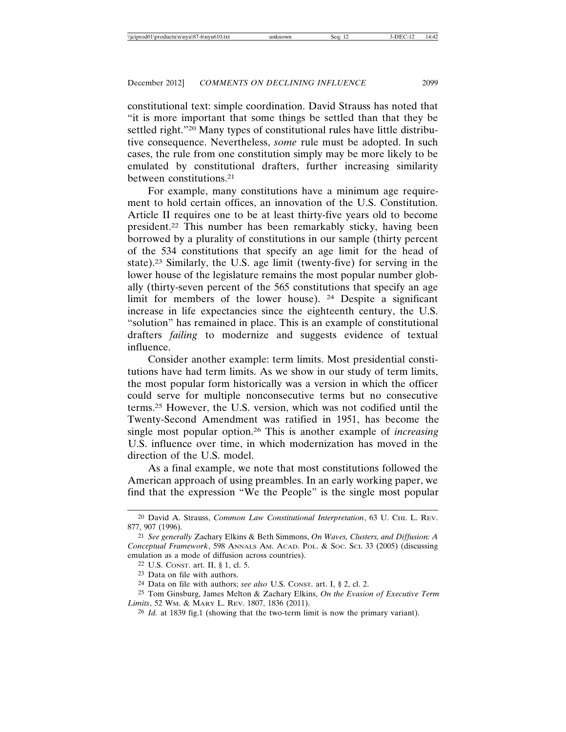constitutional text: simple coordination. David Strauss has noted that "it is more important that some things be settled than that they be settled right."20 Many types of constitutional rules have little distributive consequence. Nevertheless, *some* rule must be adopted. In such cases, the rule from one constitution simply may be more likely to be emulated by constitutional drafters, further increasing similarity between constitutions.21

For example, many constitutions have a minimum age requirement to hold certain offices, an innovation of the U.S. Constitution. Article II requires one to be at least thirty-five years old to become president.22 This number has been remarkably sticky, having been borrowed by a plurality of constitutions in our sample (thirty percent of the 534 constitutions that specify an age limit for the head of state).23 Similarly, the U.S. age limit (twenty-five) for serving in the lower house of the legislature remains the most popular number globally (thirty-seven percent of the 565 constitutions that specify an age limit for members of the lower house). 24 Despite a significant increase in life expectancies since the eighteenth century, the U.S. "solution" has remained in place. This is an example of constitutional drafters *failing* to modernize and suggests evidence of textual influence.

Consider another example: term limits. Most presidential constitutions have had term limits. As we show in our study of term limits, the most popular form historically was a version in which the officer could serve for multiple nonconsecutive terms but no consecutive terms.25 However, the U.S. version, which was not codified until the Twenty-Second Amendment was ratified in 1951, has become the single most popular option.26 This is another example of *increasing* U.S. influence over time, in which modernization has moved in the direction of the U.S. model.

As a final example, we note that most constitutions followed the American approach of using preambles. In an early working paper, we find that the expression "We the People" is the single most popular

<sup>20</sup> David A. Strauss, *Common Law Constitutional Interpretation*, 63 U. CHI. L. REV. 877, 907 (1996).

<sup>21</sup> *See generally* Zachary Elkins & Beth Simmons, *On Waves, Clusters, and Diffusion: A Conceptual Framework*, 598 ANNALS AM. ACAD. POL. & SOC. SCI. 33 (2005) (discussing emulation as a mode of diffusion across countries).

<sup>22</sup> U.S. CONST. art. II, § 1, cl. 5.

<sup>23</sup> Data on file with authors.

<sup>24</sup> Data on file with authors; *see also* U.S. CONST. art. I, § 2, cl. 2.

<sup>25</sup> Tom Ginsburg, James Melton & Zachary Elkins, *On the Evasion of Executive Term Limits*, 52 WM. & MARY L. REV. 1807, 1836 (2011).

<sup>26</sup> *Id.* at 1839 fig.1 (showing that the two-term limit is now the primary variant).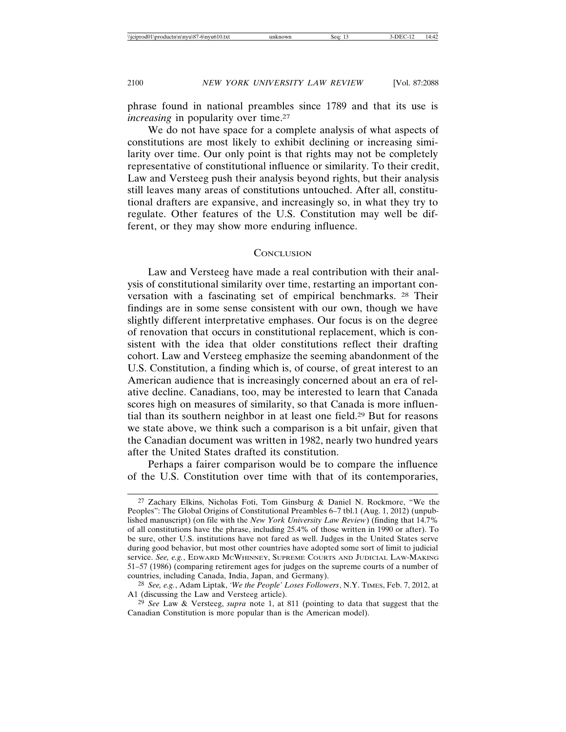phrase found in national preambles since 1789 and that its use is *increasing* in popularity over time.<sup>27</sup>

We do not have space for a complete analysis of what aspects of constitutions are most likely to exhibit declining or increasing similarity over time. Our only point is that rights may not be completely representative of constitutional influence or similarity. To their credit, Law and Versteeg push their analysis beyond rights, but their analysis still leaves many areas of constitutions untouched. After all, constitutional drafters are expansive, and increasingly so, in what they try to regulate. Other features of the U.S. Constitution may well be different, or they may show more enduring influence.

#### **CONCLUSION**

Law and Versteeg have made a real contribution with their analysis of constitutional similarity over time, restarting an important conversation with a fascinating set of empirical benchmarks. 28 Their findings are in some sense consistent with our own, though we have slightly different interpretative emphases. Our focus is on the degree of renovation that occurs in constitutional replacement, which is consistent with the idea that older constitutions reflect their drafting cohort. Law and Versteeg emphasize the seeming abandonment of the U.S. Constitution, a finding which is, of course, of great interest to an American audience that is increasingly concerned about an era of relative decline. Canadians, too, may be interested to learn that Canada scores high on measures of similarity, so that Canada is more influential than its southern neighbor in at least one field.29 But for reasons we state above, we think such a comparison is a bit unfair, given that the Canadian document was written in 1982, nearly two hundred years after the United States drafted its constitution.

Perhaps a fairer comparison would be to compare the influence of the U.S. Constitution over time with that of its contemporaries,

<sup>27</sup> Zachary Elkins, Nicholas Foti, Tom Ginsburg & Daniel N. Rockmore, "We the Peoples": The Global Origins of Constitutional Preambles 6–7 tbl.1 (Aug. 1, 2012) (unpublished manuscript) (on file with the *New York University Law Review*) (finding that 14.7% of all constitutions have the phrase, including 25.4% of those written in 1990 or after). To be sure, other U.S. institutions have not fared as well. Judges in the United States serve during good behavior, but most other countries have adopted some sort of limit to judicial service. *See, e.g.*, EDWARD MCWHINNEY, SUPREME COURTS AND JUDICIAL LAW-MAKING 51–57 (1986) (comparing retirement ages for judges on the supreme courts of a number of countries, including Canada, India, Japan, and Germany).

<sup>28</sup> *See, e.g.*, Adam Liptak, *'We the People' Loses Followers*, N.Y. TIMES, Feb. 7, 2012, at A1 (discussing the Law and Versteeg article).

<sup>29</sup> *See* Law & Versteeg, *supra* note 1, at 811 (pointing to data that suggest that the Canadian Constitution is more popular than is the American model).